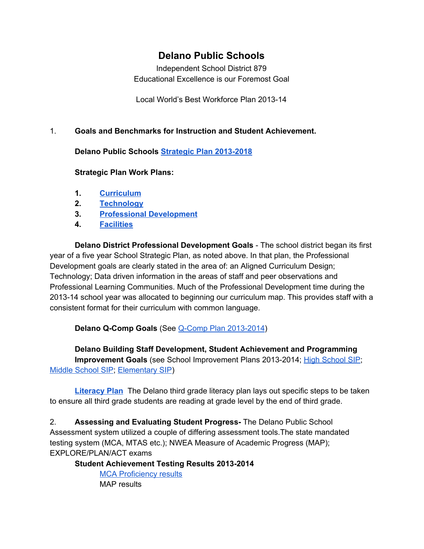# **Delano Public Schools**

Independent School District 879 Educational Excellence is our Foremost Goal

Local World's Best Workforce Plan 2013-14

## 1. **Goals and Benchmarks for Instruction and Student Achievement.**

**Delano Public Schools Strategic Plan 2013-2018** 

#### **Strategic Plan Work Plans:**

- **1. [Curriculum](https://drive.google.com/a/delanoschools.org/file/d/0BxdoVh7dFDHdV0s1VDB3b3VFREU/view?usp=sharing)**
- **2. [Technology](https://drive.google.com/a/delanoschools.org/file/d/0BxdoVh7dFDHdNndoRUFNX1FURkk/view?usp=sharing)**
- **3. Professional [Development](https://drive.google.com/a/delanoschools.org/file/d/0BxdoVh7dFDHdVFdyNGhQaGJiaGs/view?usp=sharing)**
- **4. [Facilities](https://drive.google.com/a/delanoschools.org/file/d/0BxdoVh7dFDHdUzNMenBwZXMtcWc/view?usp=sharing)**

**Delano District Professional Development Goals** The school district began its first year of a five year School Strategic Plan, as noted above. In that plan, the Professional Development goals are clearly stated in the area of: an Aligned Curriculum Design; Technology; Data driven information in the areas of staff and peer observations and Professional Learning Communities. Much of the Professional Development time during the 2013-14 school year was allocated to beginning our curriculum map. This provides staff with a consistent format for their curriculum with common language.

**Delano Q-Comp Goals** (See Q-Comp Plan 2013-2014)

**Delano Building Staff Development, Student Achievement and Programming Improvement Goals** (see [School](https://drive.google.com/a/delanoschools.org/file/d/0B3rHATO3EjLUZnpNMGhlS19uX3M/view?usp=sharing) Improvement Plans 2013-2014; High School SIP; Middle [School](https://drive.google.com/a/delanoschools.org/file/d/0BxdoVh7dFDHdVzRZWm5EWFNMTjA/view?usp=sharing) SIP; [Elementary](https://drive.google.com/a/delanoschools.org/file/d/0BxdoVh7dFDHdcnJWSmR6QnFpVVU/view?usp=sharing) SIP)

**[Literacy](https://drive.google.com/a/delanoschools.org/file/d/0BxdoVh7dFDHdbTVzZVZfRmo2eG8/view?usp=sharing) Plan** The Delano third grade literacy plan lays out specific steps to be taken to ensure all third grade students are reading at grade level by the end of third grade.

2. **Assessing and Evaluating Student Progress** The Delano Public School Assessment system utilized a couple of differing assessment tools.The state mandated testing system (MCA, MTAS etc.); NWEA Measure of Academic Progress (MAP); EXPLORE/PLAN/ACT exams

**Student Achievement Testing Results 2013-2014** 

MCA [Proficiency](https://docs.google.com/a/delanoschools.org/presentation/d/1Vg-1OJxUcLxLtjeKQ5cCiHJlNg6qgfTTzXjjm8iHVSU/edit?usp=sharing) results MAP results